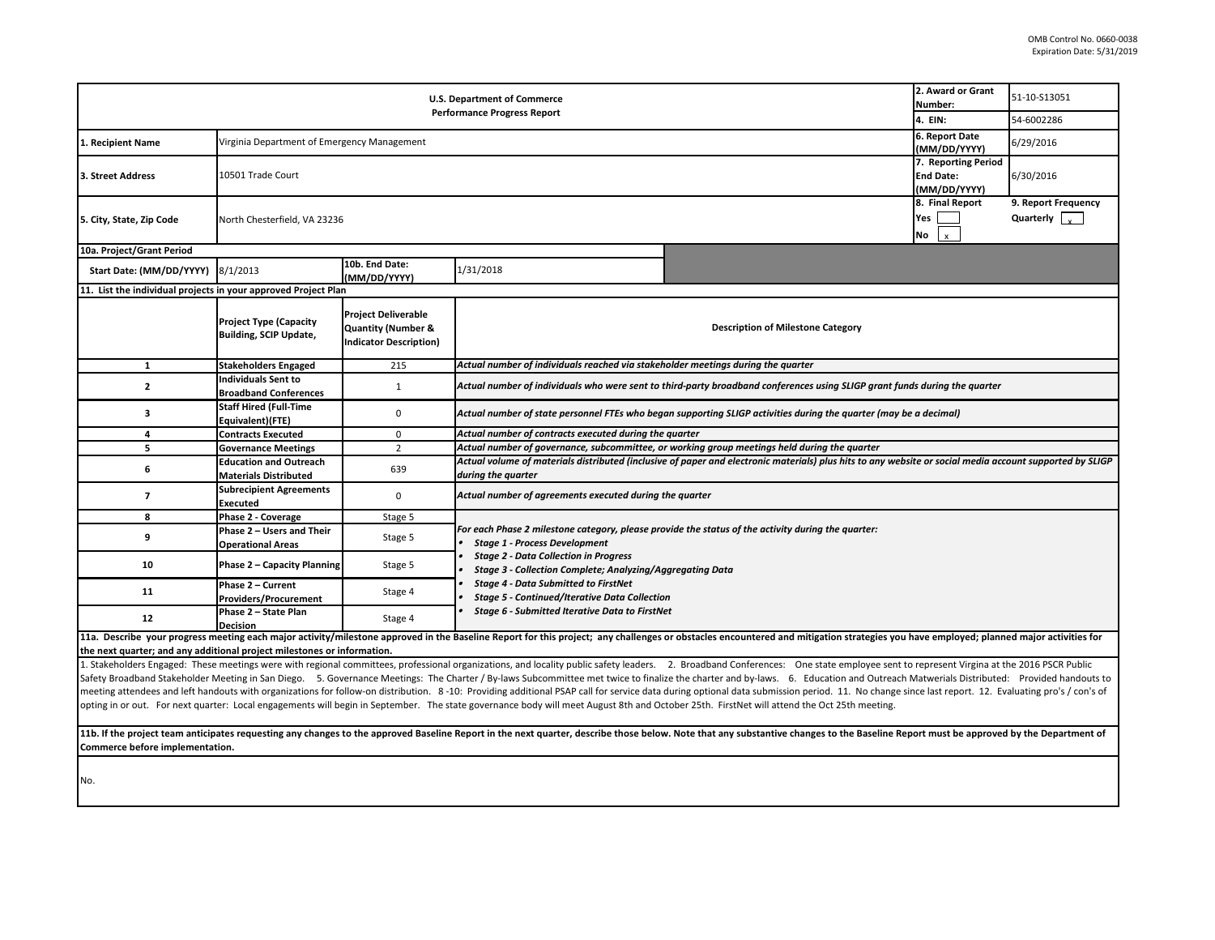| 2. Award or Grant<br><b>U.S. Department of Commerce</b><br>Number:<br><b>Performance Progress Report</b><br>4. EIN: |                                                                |                                                                                              |                                                                                                                                                                                                                                                                           |                                                                                                                                                                                                                                |                                                         | 51-10-S13051                                           |  |  |  |
|---------------------------------------------------------------------------------------------------------------------|----------------------------------------------------------------|----------------------------------------------------------------------------------------------|---------------------------------------------------------------------------------------------------------------------------------------------------------------------------------------------------------------------------------------------------------------------------|--------------------------------------------------------------------------------------------------------------------------------------------------------------------------------------------------------------------------------|---------------------------------------------------------|--------------------------------------------------------|--|--|--|
|                                                                                                                     |                                                                |                                                                                              |                                                                                                                                                                                                                                                                           |                                                                                                                                                                                                                                |                                                         | 54-6002286                                             |  |  |  |
| 1. Recipient Name                                                                                                   | Virginia Department of Emergency Management                    |                                                                                              |                                                                                                                                                                                                                                                                           |                                                                                                                                                                                                                                | 6. Report Date<br>(MM/DD/YYYY)                          | 6/29/2016                                              |  |  |  |
| 3. Street Address                                                                                                   | 10501 Trade Court                                              |                                                                                              |                                                                                                                                                                                                                                                                           |                                                                                                                                                                                                                                | 7. Reporting Period<br><b>End Date:</b><br>(MM/DD/YYYY) | 6/30/2016                                              |  |  |  |
| 5. City, State, Zip Code                                                                                            | North Chesterfield, VA 23236                                   |                                                                                              |                                                                                                                                                                                                                                                                           |                                                                                                                                                                                                                                | 8. Final Report<br>Yes<br>No<br>$\mathbf{x}$            | 9. Report Frequency<br>Quarterly $\vert \cdot \rangle$ |  |  |  |
| 10a. Project/Grant Period                                                                                           |                                                                |                                                                                              |                                                                                                                                                                                                                                                                           |                                                                                                                                                                                                                                |                                                         |                                                        |  |  |  |
| Start Date: (MM/DD/YYYY)                                                                                            | 8/1/2013                                                       | 10b. End Date:<br>(MM/DD/YYYY)                                                               | 1/31/2018                                                                                                                                                                                                                                                                 |                                                                                                                                                                                                                                |                                                         |                                                        |  |  |  |
| 11. List the individual projects in your approved Project Plan                                                      |                                                                |                                                                                              |                                                                                                                                                                                                                                                                           |                                                                                                                                                                                                                                |                                                         |                                                        |  |  |  |
|                                                                                                                     | <b>Project Type (Capacity</b><br><b>Building, SCIP Update,</b> | <b>Project Deliverable</b><br><b>Quantity (Number &amp;</b><br><b>Indicator Description)</b> | <b>Description of Milestone Category</b>                                                                                                                                                                                                                                  |                                                                                                                                                                                                                                |                                                         |                                                        |  |  |  |
| 1                                                                                                                   | <b>Stakeholders Engaged</b>                                    | 215                                                                                          | Actual number of individuals reached via stakeholder meetings during the quarter                                                                                                                                                                                          |                                                                                                                                                                                                                                |                                                         |                                                        |  |  |  |
| $\mathbf{z}$                                                                                                        | <b>Individuals Sent to</b><br><b>Broadband Conferences</b>     | $\mathbf{1}$                                                                                 | Actual number of individuals who were sent to third-party broadband conferences using SLIGP grant funds during the quarter                                                                                                                                                |                                                                                                                                                                                                                                |                                                         |                                                        |  |  |  |
| з                                                                                                                   | <b>Staff Hired (Full-Time</b><br>Equivalent)(FTE)              | $\Omega$                                                                                     | Actual number of state personnel FTEs who began supporting SLIGP activities during the quarter (may be a decimal)                                                                                                                                                         |                                                                                                                                                                                                                                |                                                         |                                                        |  |  |  |
| 4                                                                                                                   | <b>Contracts Executed</b>                                      | 0                                                                                            | Actual number of contracts executed during the quarter                                                                                                                                                                                                                    |                                                                                                                                                                                                                                |                                                         |                                                        |  |  |  |
| 5                                                                                                                   | <b>Governance Meetings</b>                                     | $\overline{2}$                                                                               | Actual number of governance, subcommittee, or working group meetings held during the quarter                                                                                                                                                                              |                                                                                                                                                                                                                                |                                                         |                                                        |  |  |  |
| 6                                                                                                                   | <b>Education and Outreach</b><br><b>Materials Distributed</b>  | 639                                                                                          | Actual volume of materials distributed (inclusive of paper and electronic materials) plus hits to any website or social media account supported by SLIGP<br>during the quarter                                                                                            |                                                                                                                                                                                                                                |                                                         |                                                        |  |  |  |
| 7                                                                                                                   | <b>Subrecipient Agreements</b><br><b>Executed</b>              | $\mathbf 0$                                                                                  | Actual number of agreements executed during the quarter                                                                                                                                                                                                                   |                                                                                                                                                                                                                                |                                                         |                                                        |  |  |  |
| 8                                                                                                                   | Phase 2 - Coverage                                             | Stage 5                                                                                      |                                                                                                                                                                                                                                                                           |                                                                                                                                                                                                                                |                                                         |                                                        |  |  |  |
| 9                                                                                                                   | Phase 2 - Users and Their<br><b>Operational Areas</b>          | Stage 5                                                                                      | For each Phase 2 milestone category, please provide the status of the activity during the quarter:<br><b>Stage 1 - Process Development</b>                                                                                                                                |                                                                                                                                                                                                                                |                                                         |                                                        |  |  |  |
| 10                                                                                                                  | Phase 2 - Capacity Planning                                    | Stage 5                                                                                      | <b>Stage 2 - Data Collection in Progress</b><br>Stage 3 - Collection Complete; Analyzing/Aggregating Data<br><b>Stage 4 - Data Submitted to FirstNet</b><br><b>Stage 5 - Continued/Iterative Data Collection</b><br><b>Stage 6 - Submitted Iterative Data to FirstNet</b> |                                                                                                                                                                                                                                |                                                         |                                                        |  |  |  |
| 11                                                                                                                  | Phase 2 - Current<br><b>Providers/Procurement</b>              | Stage 4                                                                                      |                                                                                                                                                                                                                                                                           |                                                                                                                                                                                                                                |                                                         |                                                        |  |  |  |
| 12                                                                                                                  | Phase 2 - State Plan<br><b>Decision</b>                        | Stage 4                                                                                      |                                                                                                                                                                                                                                                                           |                                                                                                                                                                                                                                |                                                         |                                                        |  |  |  |
| the next quarter: and any additional project milestones or information.                                             |                                                                |                                                                                              |                                                                                                                                                                                                                                                                           | 11a. Describe your progress meeting each major activity/milestone approved in the Baseline Report for this project; any challenges or obstacles encountered and mitigation strategies you have employed; planned major activit |                                                         |                                                        |  |  |  |

1. Stakeholders Engaged: These meetings were with regional committees, professional organizations, and locality public safety leaders. 2. Broadband Conferences: One state employee sent to represent Virgina at the 2016 PSCR Safety Broadband Stakeholder Meeting in San Diego. 5. Governance Meetings: The Charter / By-laws Subcommittee met twice to finalize the charter and by-laws. 6. Education and Outreach Matwerials Distributed: Provided handou meeting attendees and left handouts with organizations for follow-on distribution. 8-10: Providing additional PSAP call for service data during optional data submission period. 11. No change since last report. 12. Evaluati opting in or out. For next quarter: Local engagements will begin in September. The state governance body will meet August 8th and October 25th. FirstNet will attend the Oct 25th meeting.

11b. If the project team anticipates requesting any changes to the approved Baseline Report in the next quarter, describe those below. Note that any substantive changes to the Baseline Report must be approved by the Depart **Commerce before implementation.** 

No.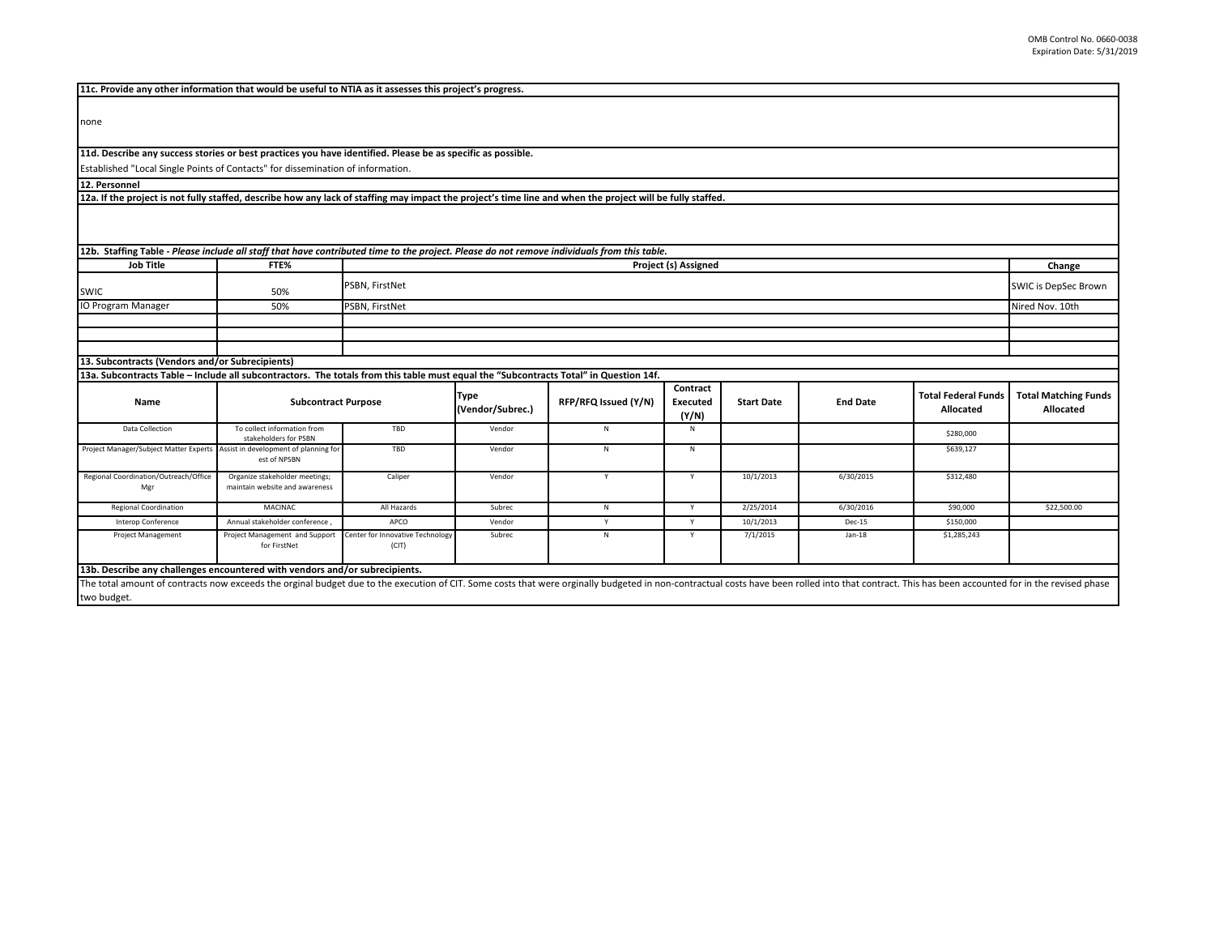| 11c. Provide any other information that would be useful to NTIA as it assesses this project's progress.                                                                     |                                                      |                                  |                  |                      |                 |                   |                 |                            |                             |
|-----------------------------------------------------------------------------------------------------------------------------------------------------------------------------|------------------------------------------------------|----------------------------------|------------------|----------------------|-----------------|-------------------|-----------------|----------------------------|-----------------------------|
|                                                                                                                                                                             |                                                      |                                  |                  |                      |                 |                   |                 |                            |                             |
| none                                                                                                                                                                        |                                                      |                                  |                  |                      |                 |                   |                 |                            |                             |
|                                                                                                                                                                             |                                                      |                                  |                  |                      |                 |                   |                 |                            |                             |
| 11d. Describe any success stories or best practices you have identified. Please be as specific as possible.                                                                 |                                                      |                                  |                  |                      |                 |                   |                 |                            |                             |
| Established "Local Single Points of Contacts" for dissemination of information.                                                                                             |                                                      |                                  |                  |                      |                 |                   |                 |                            |                             |
|                                                                                                                                                                             |                                                      |                                  |                  |                      |                 |                   |                 |                            |                             |
| 12. Personnel<br>12a. If the project is not fully staffed, describe how any lack of staffing may impact the project's time line and when the project will be fully staffed. |                                                      |                                  |                  |                      |                 |                   |                 |                            |                             |
|                                                                                                                                                                             |                                                      |                                  |                  |                      |                 |                   |                 |                            |                             |
|                                                                                                                                                                             |                                                      |                                  |                  |                      |                 |                   |                 |                            |                             |
|                                                                                                                                                                             |                                                      |                                  |                  |                      |                 |                   |                 |                            |                             |
| 12b. Staffing Table - Please include all staff that have contributed time to the project. Please do not remove individuals from this table.                                 |                                                      |                                  |                  |                      |                 |                   |                 |                            |                             |
| <b>Job Title</b>                                                                                                                                                            | FTE%                                                 | <b>Project (s) Assigned</b>      |                  |                      |                 |                   |                 |                            | Change                      |
|                                                                                                                                                                             |                                                      |                                  |                  |                      |                 |                   |                 |                            | SWIC is DepSec Brown        |
| <b>SWIC</b>                                                                                                                                                                 | 50%                                                  | PSBN, FirstNet                   |                  |                      |                 |                   |                 |                            |                             |
| <b>IO Program Manager</b>                                                                                                                                                   | 50%                                                  | PSBN, FirstNet                   |                  |                      |                 |                   |                 |                            | Nired Nov. 10th             |
|                                                                                                                                                                             |                                                      |                                  |                  |                      |                 |                   |                 |                            |                             |
|                                                                                                                                                                             |                                                      |                                  |                  |                      |                 |                   |                 |                            |                             |
|                                                                                                                                                                             |                                                      |                                  |                  |                      |                 |                   |                 |                            |                             |
| 13. Subcontracts (Vendors and/or Subrecipients)                                                                                                                             |                                                      |                                  |                  |                      |                 |                   |                 |                            |                             |
| 13a. Subcontracts Table – Include all subcontractors. The totals from this table must equal the "Subcontracts Total" in Question 14f.                                       |                                                      |                                  |                  |                      |                 |                   |                 |                            |                             |
|                                                                                                                                                                             | <b>Subcontract Purpose</b>                           |                                  | <b>Type</b>      |                      | Contract        |                   |                 | <b>Total Federal Funds</b> | <b>Total Matching Funds</b> |
| Name                                                                                                                                                                        |                                                      |                                  | (Vendor/Subrec.) | RFP/RFQ Issued (Y/N) | <b>Executed</b> | <b>Start Date</b> | <b>End Date</b> | Allocated                  | Allocated                   |
|                                                                                                                                                                             |                                                      |                                  |                  |                      | (Y/N)           |                   |                 |                            |                             |
| Data Collection                                                                                                                                                             | To collect information from<br>stakeholders for PSBN | TBD                              | Vendor           | N                    | N               |                   |                 | \$280,000                  |                             |
| Project Manager/Subject Matter Experts                                                                                                                                      | Assist in development of planning for                | TBD                              | Vendor           | N                    | N               |                   |                 | \$639,127                  |                             |
|                                                                                                                                                                             | est of NPSBN                                         |                                  |                  |                      |                 |                   |                 |                            |                             |
| Regional Coordination/Outreach/Office                                                                                                                                       | Organize stakeholder meetings;                       | Caliper                          | Vendor           | Y                    | Y               | 10/1/2013         | 6/30/2015       | \$312,480                  |                             |
| Mgr                                                                                                                                                                         | maintain website and awareness                       |                                  |                  |                      |                 |                   |                 |                            |                             |
| <b>Regional Coordination</b>                                                                                                                                                | MACINAC                                              | All Hazards                      | Subrec           | N                    | Y               | 2/25/2014         | 6/30/2016       | \$90,000                   | \$22,500.00                 |
| Interop Conference                                                                                                                                                          | Annual stakeholder conference                        | APCO                             | Vendor           | Y                    | Y               | 10/1/2013         | Dec-15          | \$150,000                  |                             |
| <b>Project Management</b>                                                                                                                                                   | Project Management and Support                       | Center for Innovative Technology | Subrec           | N                    | Y               | 7/1/2015          | $Jan-18$        | \$1,285,243                |                             |
|                                                                                                                                                                             | for FirstNet                                         | (CIT)                            |                  |                      |                 |                   |                 |                            |                             |
| 13b. Describe any challenges encountered with vendors and/or subrecipients.                                                                                                 |                                                      |                                  |                  |                      |                 |                   |                 |                            |                             |
|                                                                                                                                                                             |                                                      |                                  |                  |                      |                 |                   |                 |                            |                             |

The total amount of contracts now exceeds the orginal budget due to the execution of CIT. Some costs that were orginally budgeted in non-contractual costs have been rolled into that contract. This has been accounted for in two budget.